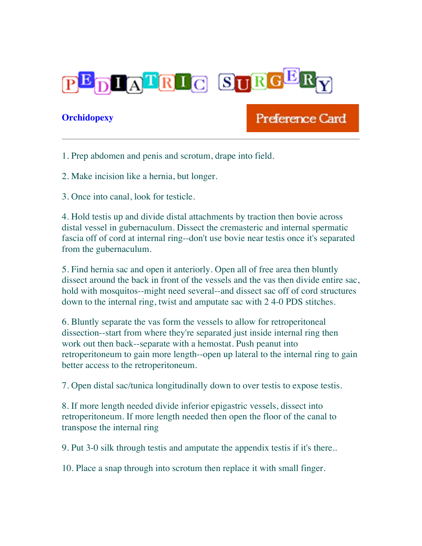

## **Orchidopexy**

## Preference Card

1. Prep abdomen and penis and scrotum, drape into field.

2. Make incision like a hernia, but longer.

3. Once into canal, look for testicle.

4. Hold testis up and divide distal attachments by traction then bovie across distal vessel in gubernaculum. Dissect the cremasteric and internal spermatic fascia off of cord at internal ring--don't use bovie near testis once it's separated from the gubernaculum.

5. Find hernia sac and open it anteriorly. Open all of free area then bluntly dissect around the back in front of the vessels and the vas then divide entire sac, hold with mosquitos--might need several--and dissect sac off of cord structures down to the internal ring, twist and amputate sac with 2 4-0 PDS stitches.

6. Bluntly separate the vas form the vessels to allow for retroperitoneal dissection--start from where they're separated just inside internal ring then work out then back--separate with a hemostat. Push peanut into retroperitoneum to gain more length--open up lateral to the internal ring to gain better access to the retroperitoneum.

7. Open distal sac/tunica longitudinally down to over testis to expose testis.

8. If more length needed divide inferior epigastric vessels, dissect into retroperitoneum. If more length needed then open the floor of the canal to transpose the internal ring

9. Put 3-0 silk through testis and amputate the appendix testis if it's there..

10. Place a snap through into scrotum then replace it with small finger.